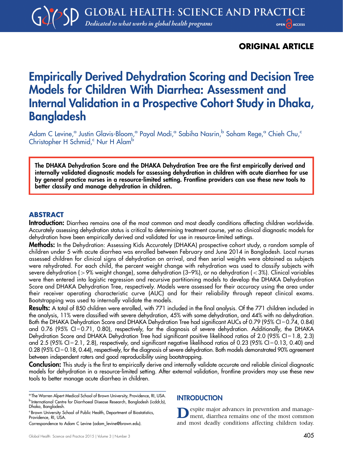## ORIGINAL ARTICLE

## Empirically Derived Dehydration Scoring and Decision Tree Models for Children With Diarrhea: Assessment and Internal Validation in a Prospective Cohort Study in Dhaka, Bangladesh

Adam C Levine,<sup>a</sup> Justin Glavis-Bloom,<sup>a</sup> Payal Modi,<sup>a</sup> Sabiha Nasrin,<sup>b</sup> Soham Rege,<sup>a</sup> Chieh Chu,<sup>c</sup> Christopher H Schmid,<sup>c</sup> Nur H Alam<sup>b</sup>

The DHAKA Dehydration Score and the DHAKA Dehydration Tree are the first empirically derived and internally validated diagnostic models for assessing dehydration in children with acute diarrhea for use by general practice nurses in a resource-limited setting. Frontline providers can use these new tools to better classify and manage dehydration in children.

## ABSTRACT

Introduction: Diarrhea remains one of the most common and most deadly conditions affecting children worldwide. Accurately assessing dehydration status is critical to determining treatment course, yet no clinical diagnostic models for dehydration have been empirically derived and validated for use in resource-limited settings.

**Methods:** In the Dehydration: Assessing Kids Accurately (DHAKA) prospective cohort study, a random sample of children under 5 with acute diarrhea was enrolled between February and June 2014 in Bangladesh. Local nurses assessed children for clinical signs of dehydration on arrival, and then serial weights were obtained as subjects were rehydrated. For each child, the percent weight change with rehydration was used to classify subjects with severe dehydration ( $>9\%$  weight change), some dehydration (3–9%), or no dehydration ( $<$ 3%). Clinical variables were then entered into logistic regression and recursive partitioning models to develop the DHAKA Dehydration Score and DHAKA Dehydration Tree, respectively. Models were assessed for their accuracy using the area under their receiver operating characteristic curve (AUC) and for their reliability through repeat clinical exams. Bootstrapping was used to internally validate the models.

Results: A total of 850 children were enrolled, with 771 included in the final analysis. Of the 771 children included in the analysis, 11% were classified with severe dehydration, 45% with some dehydration, and 44% with no dehydration. Both the DHAKA Dehydration Score and DHAKA Dehydration Tree had significant AUCs of 0.79 (95% CI = 0.74, 0.84) and 0.76 (95% CI=0.71, 0.80), respectively, for the diagnosis of severe dehydration. Additionally, the DHAKA Dehydration Score and DHAKA Dehydration Tree had significant positive likelihood ratios of 2.0 (95% CI = 1.8, 2.3) and 2.5 (95% CI=2.1, 2.8), respectively, and significant negative likelihood ratios of 0.23 (95% CI=0.13, 0.40) and 0.28 (95% CI = 0.18, 0.44), respectively, for the diagnosis of severe dehydration. Both models demonstrated 90% agreement between independent raters and good reproducibility using bootstrapping.

Conclusion: This study is the first to empirically derive and internally validate accurate and reliable clinical diagnostic models for dehydration in a resource-limited setting. After external validation, frontline providers may use these new tools to better manage acute diarrhea in children.

## **INTRODUCTION**

Despite major advances in prevention and manage-ment, diarrhea remains one of the most common and most deadly conditions affecting children today.

<sup>a</sup> The Warren Alpert Medical School of Brown University, Providence, RI, USA. <sup>b</sup> International Centre for Diarrhoeal Disease Research, Bangladesh (icddr,b), Dhaka, Bangladesh.

<sup>&</sup>lt;sup>c</sup> Brown University School of Public Health, Department of Biostatistics, Providence, RI, USA.

Correspondence to Adam C Levine ([adam\\_levine@brown.edu](mailto:adam_levine@brown.edu)).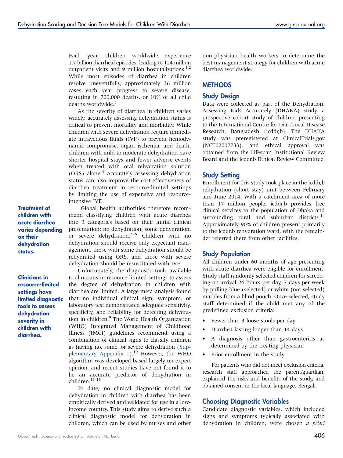Each year, children worldwide experience 1.7 billion diarrheal episodes, leading to 124 million outpatient visits and 9 million hospitalizations. $1,2$ While most episodes of diarrhea in children resolve uneventfully, approximately 36 million cases each year progress to severe disease, resulting in 700,000 deaths, or 10% of all child deaths worldwide<sup>3</sup>

As the severity of diarrhea in children varies widely, accurately assessing dehydration status is critical to prevent mortality and morbidity. While children with severe dehydration require immediate intravenous fluids (IVF) to prevent hemodynamic compromise, organ ischemia, and death, children with mild to moderate dehydration have shorter hospital stays and fewer adverse events when treated with oral rehydration solution (ORS) alone.<sup>4</sup> Accurately assessing dehydration status can also improve the cost-effectiveness of diarrhea treatment in resource-limited settings by limiting the use of expensive and resourceintensive IVF.

Global health authorities therefore recommend classifying children with acute diarrhea into 3 categories based on their initial clinical presentation: no dehydration, some dehydration, or severe dehydration.<sup>5–8</sup> Children with no dehydration should receive only expectant management, those with some dehydration should be rehydrated using ORS, and those with severe dehydration should be resuscitated with IVF.

Unfortunately, the diagnostic tools available to clinicians in resource-limited settings to assess the degree of dehydration in children with diarrhea are limited. A large meta-analysis found that no individual clinical sign, symptom, or laboratory test demonstrated adequate sensitivity, specificity, and reliability for detecting dehydration in children.<sup>9</sup> The World Health Organization (WHO) Integrated Management of Childhood Illness (IMCI) guidelines recommend using a combination of clinical signs to classify children as having no, some, or severe dehydration ([Sup](http://ghspjournal.org/lookup/suppl/doi:10.9745/GHSP-D-15-00097/-/DCSupplemental)[plementary Appendix 1](http://ghspjournal.org/lookup/suppl/doi:10.9745/GHSP-D-15-00097/-/DCSupplemental)).<sup>10</sup> However, the WHO algorithm was developed based largely on expert opinion, and recent studies have not found it to be an accurate predictor of dehydration in children.<sup>11-13</sup>

To date, no clinical diagnostic model for dehydration in children with diarrhea has been empirically derived and validated for use in a lowincome country. This study aims to derive such a clinical diagnostic model for dehydration in children, which can be used by nurses and other non-physician health workers to determine the best management strategy for children with acute diarrhea worldwide.

## **METHODS**

## Study Design

Data were collected as part of the Dehydration: Assessing Kids Accurately (DHAKA) study, a prospective cohort study of children presenting to the International Centre for Diarrhoeal Disease Research, Bangladesh (icddr,b). The DHAKA study was preregistered at ClinicalTrials.gov (NCT02007733), and ethical approval was obtained from the Lifespan Institutional Review Board and the icddr,b Ethical Review Committee.

## Study Setting

Enrollment for this study took place in the icddr,b rehydration (short stay) unit between February and June 2014. With a catchment area of more than 17 million people, icddr,b provides free clinical services to the population of Dhaka and surrounding rural and suburban districts.<sup>14</sup> Approximately 90% of children present primarily to the icddr,b rehydration ward, with the remainder referred there from other facilities.

## Study Population

All children under 60 months of age presenting with acute diarrhea were eligible for enrollment. Study staff randomly selected children for screening on arrival 24 hours per day, 7 days per week by pulling blue (selected) or white (not selected) marbles from a blind pouch. Once selected, study staff determined if the child met any of the predefined exclusion criteria:

- Fewer than 3 loose stools per day
- Diarrhea lasting longer than 14 days
- A diagnosis other than gastroenteritis as determined by the treating physician
- Prior enrollment in the study

For patients who did not meet exclusion criteria, research staff approached the parent/guardian, explained the risks and benefits of the study, and obtained consent in the local language, Bengali.

## Choosing Diagnostic Variables

Candidate diagnostic variables, which included signs and symptoms typically associated with dehydration in children, were chosen a priori

Treatment of children with acute diarrhea varies depending on their **dehydration** status.

Clinicians in resource-limited settings have limited diagnostic tools to assess dehydration severity in children with diarrhea.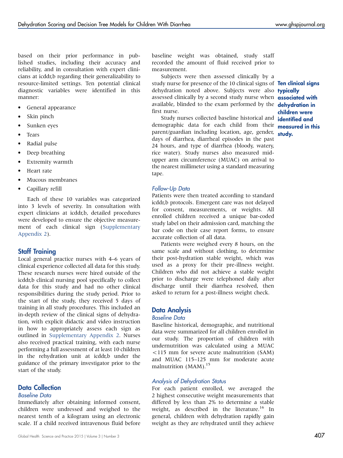based on their prior performance in published studies, including their accuracy and reliability, and in consultation with expert clinicians at icddr,b regarding their generalizability to resource-limited settings. Ten potential clinical diagnostic variables were identified in this manner:

- General appearance
- Skin pinch
- Sunken eyes
- Tears
- Radial pulse
- Deep breathing
- Extremity warmth
- Heart rate
- Mucous membranes
- Capillary refill

Each of these 10 variables was categorized into 3 levels of severity. In consultation with expert clinicians at icddr,b, detailed procedures were developed to ensure the objective measurement of each clinical sign ([Supplementary](http://ghspjournal.org/lookup/suppl/doi:10.9745/GHSP-D-15-00097/-/DCSupplemental) [Appendix 2](http://ghspjournal.org/lookup/suppl/doi:10.9745/GHSP-D-15-00097/-/DCSupplemental)).

#### Staff Training

Local general practice nurses with 4–6 years of clinical experience collected all data for this study. These research nurses were hired outside of the icddr,b clinical nursing pool specifically to collect data for this study and had no other clinical responsibilities during the study period. Prior to the start of the study, they received 5 days of training in all study procedures. This included an in-depth review of the clinical signs of dehydration, with explicit didactic and video instruction in how to appropriately assess each sign as outlined in [Supplementary Appendix 2.](http://ghspjournal.org/lookup/suppl/doi:10.9745/GHSP-D-15-00097/-/DCSupplemental) Nurses also received practical training, with each nurse performing a full assessment of at least 10 children in the rehydration unit at icddr,b under the guidance of the primary investigator prior to the start of the study.

## Data Collection

#### Baseline Data

Immediately after obtaining informed consent, children were undressed and weighed to the nearest tenth of a kilogram using an electronic scale. If a child received intravenous fluid before

baseline weight was obtained, study staff recorded the amount of fluid received prior to measurement.

Subjects were then assessed clinically by a study nurse for presence of the 10 clinical signs of Ten clinical signs dehydration noted above. Subjects were also typically assessed clinically by a second study nurse when **associated with** available, blinded to the exam performed by the **dehydration in** first nurse.

Study nurses collected baseline historical and **identified and** demographic data for each child from their parent/guardian including location, age, gender, study. days of diarrhea, diarrheal episodes in the past 24 hours, and type of diarrhea (bloody, watery, rice water). Study nurses also measured midupper arm circumference (MUAC) on arrival to the nearest millimeter using a standard measuring tape.

#### Follow-Up Data

Patients were then treated according to standard icddr,b protocols. Emergent care was not delayed for consent, measurements, or weights. All enrolled children received a unique bar-coded study label on their admission card, matching the bar code on their case report forms, to ensure accurate collection of all data.

Patients were weighed every 8 hours, on the same scale and without clothing, to determine their post-hydration stable weight, which was used as a proxy for their pre-illness weight. Children who did not achieve a stable weight prior to discharge were telephoned daily after discharge until their diarrhea resolved, then asked to return for a post-illness weight check.

#### Data Analysis

## Baseline Data

Baseline historical, demographic, and nutritional data were summarized for all children enrolled in our study. The proportion of children with undernutrition was calculated using a MUAC  $115$  mm for severe acute malnutrition (SAM) and MUAC 115–125 mm for moderate acute malnutrition (MAM).<sup>15</sup>

#### Analysis of Dehydration Status

For each patient enrolled, we averaged the 2 highest consecutive weight measurements that differed by less than 2% to determine a stable weight, as described in the literature.<sup>16</sup> In general, children with dehydration rapidly gain weight as they are rehydrated until they achieve

children were measured in this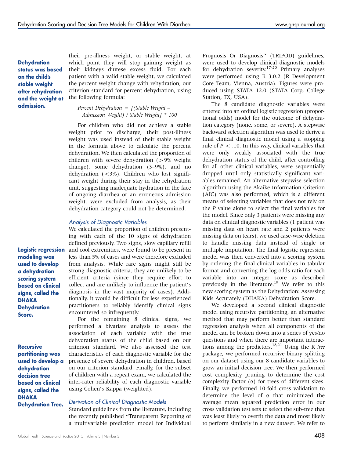**Dehydration** status was based on the child's stable weight after rehydration and the weight at admission.

their pre-illness weight, or stable weight, at which point they will stop gaining weight as their kidneys diurese excess fluid. For each patient with a valid stable weight, we calculated the percent weight change with rehydration, our criterion standard for percent dehydration, using the following formula:

#### Percent Dehydration =  $\int (Stable Weight -$ Admission Weight) / Stable Weight] \* 100

For children who did not achieve a stable weight prior to discharge, their post-illness weight was used instead of their stable weight in the formula above to calculate the percent dehydration. We then calculated the proportion of children with severe dehydration  $(>9\%$  weight change), some dehydration (3–9%), and no dehydration  $(< 3\%)$ . Children who lost significant weight during their stay in the rehydration unit, suggesting inadequate hydration in the face of ongoing diarrhea or an erroneous admission weight, were excluded from analysis, as their dehydration category could not be determined.

#### Analysis of Diagnostic Variables

We calculated the proportion of children presenting with each of the 10 signs of dehydration defined previously. Two signs, slow capillary refill and cool extremities, were found to be present in less than 5% of cases and were therefore excluded from analysis. While rare signs might still be strong diagnostic criteria, they are unlikely to be efficient criteria (since they require effort to collect and are unlikely to influence the patient's diagnosis in the vast majority of cases). Additionally, it would be difficult for less experienced practitioners to reliably identify clinical signs encountered so infrequently.

For the remaining 8 clinical signs, we performed a bivariate analysis to assess the association of each variable with the true dehydration status of the child based on our criterion standard. We also assessed the test characteristics of each diagnostic variable for the presence of severe dehydration in children, based on our criterion standard. Finally, for the subset of children with a repeat exam, we calculated the inter-rater reliability of each diagnostic variable using Cohen's Kappa (weighted).

#### Derivation of Clinical Diagnostic Models

Standard guidelines from the literature, including the recently published ''Transparent Reporting of a multivariable prediction model for Individual Prognosis Or Diagnosis'' (TRIPOD) guidelines, were used to develop clinical diagnostic models for dehydration severity.17-20 Primary analyses were performed using R 3.0.2 (R Development Core Team, Vienna, Austria). Figures were produced using STATA 12.0 (STATA Corp, College Station, TX, USA).

The 8 candidate diagnostic variables were entered into an ordinal logistic regression (proportional odds) model for the outcome of dehydration category (none, some, or severe). A stepwise backward selection algorithm was used to derive a final clinical diagnostic model using a stopping rule of  $P < 0.10$ . In this way, clinical variables that were only weakly associated with the true dehydration status of the child, after controlling for all other clinical variables, were sequentially dropped until only statistically significant variables remained. An alternative stepwise selection algorithm using the Akaike Information Criterion (AIC) was also performed, which is a different means of selecting variables that does not rely on the P value alone to select the final variables for the model. Since only 3 patients were missing any data on clinical diagnostic variables (1 patient was missing data on heart rate and 2 patients were missing data on tears), we used case-wise deletion to handle missing data instead of single or multiple imputation. The final logistic regression model was then converted into a scoring system by ordering the final clinical variables in tabular format and converting the log odds ratio for each variable into an integer score as described previously in the literature.19 We refer to this new scoring system as the Dehydration: Assessing Kids Accurately (DHAKA) Dehydration Score.

We developed a second clinical diagnostic model using recursive partitioning, an alternative method that may perform better than standard regression analysis when all components of the model can be broken down into a series of yes/no questions and when there are important interactions among the predictors.<sup>18,21</sup> Using the R tree package, we performed recursive binary splitting on our dataset using our 8 candidate variables to grow an initial decision tree. We then performed cost complexity pruning to determine the cost complexity factor  $(\alpha)$  for trees of different sizes. Finally, we performed 10-fold cross validation to determine the level of  $\alpha$  that minimized the average mean squared prediction error in our cross validation test sets to select the sub-tree that was least likely to overfit the data and most likely to perform similarly in a new dataset. We refer to

Logistic regression modeling was used to develop a dehydration scoring system based on clinical signs, called the DHAKA **Dehydration** Score.

**Recursive** partitioning was used to develop a dehydration decision tree based on clinical signs, called the DHAKA Dehydration Tree.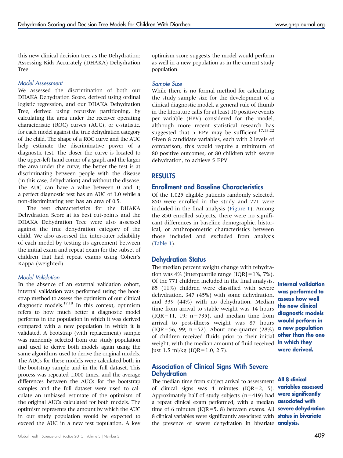this new clinical decision tree as the Dehydration: Assessing Kids Accurately (DHAKA) Dehydration Tree.

#### Model Assessment

We assessed the discrimination of both our DHAKA Dehydration Score, derived using ordinal logistic regression, and our DHAKA Dehydration Tree, derived using recursive partitioning, by calculating the area under the receiver operating characteristic (ROC) curves (AUC), or c-statistic, for each model against the true dehydration category of the child. The shape of a ROC curve and the AUC help estimate the discriminative power of a diagnostic test. The closer the curve is located to the upper-left hand corner of a graph and the larger the area under the curve, the better the test is at discriminating between people with the disease (in this case, dehydration) and without the disease. The AUC can have a value between 0 and 1; a perfect diagnostic test has an AUC of 1.0 while a non-discriminating test has an area of 0.5.

The test characteristics for the DHAKA Dehydration Score at its best cut-points and the DHAKA Dehydration Tree were also assessed against the true dehydration category of the child. We also assessed the inter-rater reliability of each model by testing its agreement between the initial exam and repeat exam for the subset of children that had repeat exams using Cohen's Kappa (weighted).

#### Model Validation

In the absence of an external validation cohort, internal validation was performed using the bootstrap method to assess the optimism of our clinical diagnostic models.<sup>17,18</sup> In this context, optimism refers to how much better a diagnostic model performs in the population in which it was derived compared with a new population in which it is validated. A bootstrap (with replacement) sample was randomly selected from our study population and used to derive both models again using the same algorithms used to derive the original models. The AUCs for these models were calculated both in the bootstrap sample and in the full dataset. This process was repeated 1,000 times, and the average differences between the AUCs for the bootstrap samples and the full dataset were used to calculate an unbiased estimate of the optimism of the original AUCs calculated for both models. The optimism represents the amount by which the AUC in our study population would be expected to exceed the AUC in a new test population. A low

population. Sample Size

> While there is no formal method for calculating the study sample size for the development of a clinical diagnostic model, a general rule of thumb in the literature calls for at least 10 positive events per variable (EPV) considered for the model, although more recent statistical research has suggested that 5 EPV may be sufficient.<sup>17,18,22</sup> Given 8 candidate variables, each with 2 levels of comparison, this would require a minimum of 80 positive outcomes, or 80 children with severe dehydration, to achieve 5 EPV.

optimism score suggests the model would perform as well in a new population as in the current study

## RESULTS

## Enrollment and Baseline Characteristics

Of the 1,025 eligible patients randomly selected, 850 were enrolled in the study and 771 were included in the final analysis ([Figure 1](#page-5-0)). Among the 850 enrolled subjects, there were no significant differences in baseline demographic, historical, or anthropometric characteristics between those included and excluded from analysis ([Table 1](#page-6-0)).

## Dehydration Status

The median percent weight change with rehydration was 4% (interquartile range [IQR] = 1%, 7%). Of the 771 children included in the final analysis, 85 (11%) children were classified with severe dehydration, 347 (45%) with some dehydration, and 339 (44%) with no dehydration. Median time from arrival to stable weight was 14 hours  $(IOR = 11, 19; n = 735)$ , and median time from arrival to post-illness weight was 87 hours  $( IQR = 56, 99; n = 52)$ . About one-quarter  $(28%)$ of children received fluids prior to their initial weight, with the median amount of fluid received just 1.5 ml/kg ( $IQR = 1.0$ , 2.7).

## Association of Clinical Signs With Severe **Dehydration**

The median time from subject arrival to assessment of clinical signs was 4 minutes  $(IQR=2, 5)$ . Approximately half of study subjects  $(n=419)$  had a repeat clinical exam performed, with a median **associated with** time of 6 minutes (IQR=5, 8) between exams. All **severe dehydration** 8 clinical variables were significantly associated with status in bivariate the presence of severe dehydration in bivariate **analysis.** 

Internal validation was performed to assess how well the new clinical diagnostic models would perform in a new population other than the one in which they were derived.

All 8 clinical variables assessed were significantly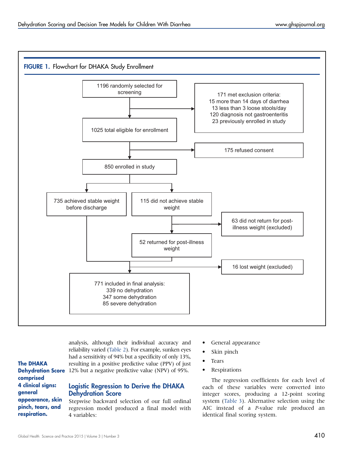<span id="page-5-0"></span>

The DHAKA comprised 4 clinical signs: general appearance, skin pinch, tears, and respiration.

## analysis, although their individual accuracy and reliability varied [\(Table 2](#page-7-0)). For example, sunken eyes had a sensitivity of 94% but a specificity of only 13%, resulting in a positive predictive value (PPV) of just **Dehydration Score** 12% but a negative predictive value (NPV) of 95%.

## Logistic Regression to Derive the DHAKA Dehydration Score

Stepwise backward selection of our full ordinal regression model produced a final model with 4 variables:

- General appearance
- Skin pinch
- Tears
- Respirations

The regression coefficients for each level of each of these variables were converted into integer scores, producing a 12-point scoring system ([Table 3\)](#page-8-0). Alternative selection using the AIC instead of a P-value rule produced an identical final scoring system.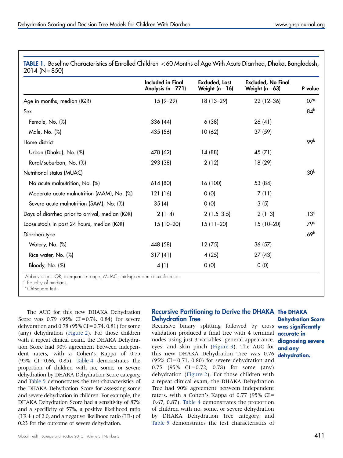| $2014 (N = 850)$                                |                                                  |                                            |                                              |                  |  |  |  |  |
|-------------------------------------------------|--------------------------------------------------|--------------------------------------------|----------------------------------------------|------------------|--|--|--|--|
|                                                 | <b>Included in Final</b><br>Analysis $(n = 771)$ | <b>Excluded, Lost</b><br>Weight $(n = 16)$ | <b>Excluded, No Final</b><br>Weight $(n=63)$ | P value          |  |  |  |  |
| Age in months, median (IQR)                     | $15(9-29)$                                       | 18 (13-29)                                 | 22 (12-36)                                   | .07 <sup>°</sup> |  |  |  |  |
| Sex                                             |                                                  |                                            |                                              | $.84^{b}$        |  |  |  |  |
| Female, No. (%)                                 | 336 (44)                                         | 6(38)                                      | 26(41)                                       |                  |  |  |  |  |
| Male, No. (%)                                   | 435 (56)                                         | 10(62)                                     | 37 (59)                                      |                  |  |  |  |  |
| Home district                                   |                                                  |                                            |                                              | .99b             |  |  |  |  |
| Urban (Dhaka), No. (%)                          | 478 (62)                                         | 14 (88)                                    | 45 (71)                                      |                  |  |  |  |  |
| Rural/suburban, No. (%)                         | 293 (38)                                         | 2(12)                                      | 18 (29)                                      |                  |  |  |  |  |
| Nutritional status (MUAC)                       |                                                  |                                            |                                              | .30 <sup>b</sup> |  |  |  |  |
| No acute malnutrition, No. (%)                  | 614 (80)                                         | 16 (100)                                   | 53 (84)                                      |                  |  |  |  |  |
| Moderate acute malnutrition (MAM), No. (%)      | 121 (16)                                         | O(0)                                       | 7(11)                                        |                  |  |  |  |  |
| Severe acute malnutrition (SAM), No. (%)        | 35(4)                                            | O(0)                                       | 3(5)                                         |                  |  |  |  |  |
| Days of diarrhea prior to arrival, median (IQR) | $2(1-4)$                                         | $2(1.5-3.5)$                               | $2(1-3)$                                     | .13 <sup>a</sup> |  |  |  |  |
| Loose stools in past 24 hours, median (IQR)     | 15 (10-20)                                       | $15(11-20)$                                | 15 (10-20)                                   | $.79^{\circ}$    |  |  |  |  |
| Diarrhea type                                   |                                                  |                                            |                                              | .69 <sup>b</sup> |  |  |  |  |
| Watery, No. (%)                                 | 448 (58)                                         | 12(75)                                     | 36(57)                                       |                  |  |  |  |  |
| Rice-water, No. (%)                             | 317(41)                                          | 4 (25)                                     | 27(43)                                       |                  |  |  |  |  |
| Bloody, No. (%)                                 | 4 (1)                                            | 0(0)                                       | 0(0)                                         |                  |  |  |  |  |

<span id="page-6-0"></span>TABLE 1. Baseline Characteristics of Enrolled Children <60 Months of Age With Acute Diarrhea, Dhaka, Bangladesh,

Abbreviation: IQR, interquartile range; MUAC, mid-upper arm circumference.

<sup>a</sup> Equality of medians.

**b** Chi-square test.

The AUC for this new DHAKA Dehydration Score was  $0.79$  (95% CI=0.74, 0.84) for severe dehydration and  $0.78$  (95% CI = 0.74, 0.81) for some (any) dehydration ([Figure 2](#page-9-0)). For those children with a repeat clinical exam, the DHAKA Dehydration Score had 90% agreement between independent raters, with a Cohen's Kappa of 0.75 (95%  $CI = 0.66$ , 0.85). [Table 4](#page-10-0) demonstrates the proportion of children with no, some, or severe dehydration by DHAKA Dehydration Score category, and [Table 5](#page-10-0) demonstrates the test characteristics of the DHAKA Dehydration Score for assessing some and severe dehydration in children. For example, the DHAKA Dehydration Score had a sensitivity of 87% and a specificity of 57%, a positive likelihood ratio  $(LR+)$  of 2.0, and a negative likelihood ratio (LR-) of 0.23 for the outcome of severe dehydration.

## Recursive Partitioning to Derive the DHAKA The DHAKA Dehydration Tree

Recursive binary splitting followed by cross was significantly validation produced a final tree with 4 terminal nodes using just 3 variables: general appearance, **diagnosing severe** eyes, and skin pinch ([Figure 3](#page-11-0)). The AUC for and any this new DHAKA Dehydration Tree was 0.76 (95% CI=0.71, 0.80) for severe dehydration and 0.75 (95%  $CI = 0.72$ , 0.78) for some (any) dehydration [\(Figure 2](#page-9-0)). For those children with a repeat clinical exam, the DHAKA Dehydration Tree had 90% agreement between independent raters, with a Cohen's Kappa of  $0.77$  (95% CI = 0.67, 0.87). [Table 4](#page-10-0) demonstrates the proportion of children with no, some, or severe dehydration by DHAKA Dehydration Tree category, and [Table 5](#page-10-0) demonstrates the test characteristics of

# Dehydration Score accurate in dehydration.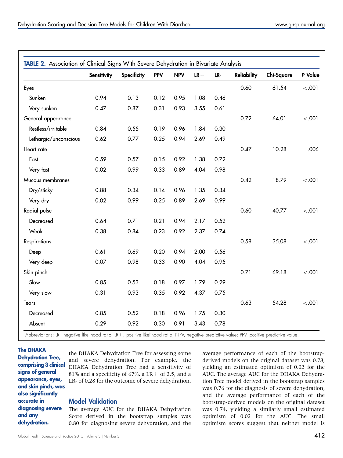<span id="page-7-0"></span>

|                       | <b>Sensitivity</b> | <b>Specificity</b> | <b>PPV</b> | <b>NPV</b> | $LR +$ | LR-  | <b>Reliability</b> | Chi-Square | P Value |
|-----------------------|--------------------|--------------------|------------|------------|--------|------|--------------------|------------|---------|
| Eyes                  |                    |                    |            |            |        |      | 0.60               | 61.54      | < .001  |
| Sunken                | 0.94               | 0.13               | 0.12       | 0.95       | 1.08   | 0.46 |                    |            |         |
| Very sunken           | 0.47               | 0.87               | 0.31       | 0.93       | 3.55   | 0.61 |                    |            |         |
| General appearance    |                    |                    |            |            |        |      | 0.72               | 64.01      | < .001  |
| Restless/irritable    | 0.84               | 0.55               | 0.19       | 0.96       | 1.84   | 0.30 |                    |            |         |
| Lethargic/unconscious | 0.62               | 0.77               | 0.25       | 0.94       | 2.69   | 0.49 |                    |            |         |
| Heart rate            |                    |                    |            |            |        |      | 0.47               | 10.28      | .006    |
| Fast                  | 0.59               | 0.57               | 0.15       | 0.92       | 1.38   | 0.72 |                    |            |         |
| Very fast             | 0.02               | 0.99               | 0.33       | 0.89       | 4.04   | 0.98 |                    |            |         |
| Mucous membranes      |                    |                    |            |            |        |      | 0.42               | 18.79      | < .001  |
| Dry/sticky            | 0.88               | 0.34               | 0.14       | 0.96       | 1.35   | 0.34 |                    |            |         |
| Very dry              | 0.02               | 0.99               | 0.25       | 0.89       | 2.69   | 0.99 |                    |            |         |
| Radial pulse          |                    |                    |            |            |        |      | 0.60               | 40.77      | < .001  |
| Decreased             | 0.64               | 0.71               | 0.21       | 0.94       | 2.17   | 0.52 |                    |            |         |
| Weak                  | 0.38               | 0.84               | 0.23       | 0.92       | 2.37   | 0.74 |                    |            |         |
| Respirations          |                    |                    |            |            |        |      | 0.58               | 35.08      | < .001  |
| Deep                  | 0.61               | 0.69               | 0.20       | 0.94       | 2.00   | 0.56 |                    |            |         |
| Very deep             | 0.07               | 0.98               | 0.33       | 0.90       | 4.04   | 0.95 |                    |            |         |
| Skin pinch            |                    |                    |            |            |        |      | 0.71               | 69.18      | < .001  |
| Slow                  | 0.85               | 0.53               | 0.18       | 0.97       | 1.79   | 0.29 |                    |            |         |
| Very slow             | 0.31               | 0.93               | 0.35       | 0.92       | 4.37   | 0.75 |                    |            |         |
| Tears                 |                    |                    |            |            |        |      | 0.63               | 54.28      | < .001  |
| Decreased             | 0.85               | 0.52               | 0.18       | 0.96       | 1.75   | 0.30 |                    |            |         |
| Absent                | 0.29               | 0.92               | 0.30       | 0.91       | 3.43   | 0.78 |                    |            |         |

The DHAKA Dehydration Tree, comprising 3 clinical signs of general appearance, eyes, and skin pinch, was also significantly accurate in diagnosing severe and any dehydration.

the DHAKA Dehydration Tree for assessing some and severe dehydration. For example, the DHAKA Dehydration Tree had a sensitivity of 81% and a specificity of 67%, a LR + of 2.5, and a LR- of 0.28 for the outcome of severe dehydration.

## Model Validation

The average AUC for the DHAKA Dehydration Score derived in the bootstrap samples was 0.80 for diagnosing severe dehydration, and the

average performance of each of the bootstrapderived models on the original dataset was 0.78, yielding an estimated optimism of 0.02 for the AUC. The average AUC for the DHAKA Dehydration Tree model derived in the bootstrap samples was 0.76 for the diagnosis of severe dehydration, and the average performance of each of the bootstrap-derived models on the original dataset was 0.74, yielding a similarly small estimated optimism of 0.02 for the AUC. The small optimism scores suggest that neither model is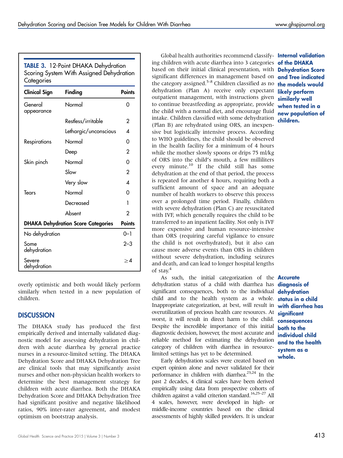<span id="page-8-0"></span>TABLE 3. 12-Point DHAKA Dehydration Scoring System With Assigned Dehydration **Categories** 

| <b>Clinical Sign</b>  | Finding                                   | <b>Points</b>  |
|-----------------------|-------------------------------------------|----------------|
| General<br>appearance | Normal                                    | 0              |
|                       | Restless/irritable                        | $\overline{2}$ |
|                       | Lethargic/unconscious                     | 4              |
| Respirations          | Normal                                    | 0              |
|                       | Deep                                      | 2              |
| Skin pinch            | Normal                                    | 0              |
|                       | Slow                                      | 2              |
|                       | Very slow                                 | Δ              |
| Tears                 | Normal                                    | 0              |
|                       | Decreased                                 | 1              |
|                       | Absent                                    | 2              |
|                       | <b>DHAKA Dehydration Score Categories</b> | <b>Points</b>  |
| No dehydration        |                                           | 0-1            |
| Some<br>dehydration   |                                           | $2 - 3$        |
| Severe<br>dehydration |                                           | $\geq 4$       |

overly optimistic and both would likely perform similarly when tested in a new population of children.

## **DISCUSSION**

The DHAKA study has produced the first empirically derived and internally validated diagnostic model for assessing dehydration in children with acute diarrhea by general practice nurses in a resource-limited setting. The DHAKA Dehydration Score and DHAKA Dehydration Tree are clinical tools that may significantly assist nurses and other non-physician health workers to determine the best management strategy for children with acute diarrhea. Both the DHAKA Dehydration Score and DHAKA Dehydration Tree had significant positive and negative likelihood ratios, 90% inter-rater agreement, and modest optimism on bootstrap analysis.

Global health authorities recommend classify- **Internal validation** ing children with acute diarrhea into 3 categories **of the DHAKA** based on their initial clinical presentation, with **Dehydration Score** significant differences in management based on the category assigned.<sup>5-8</sup> Children classified as no **the models would** dehydration (Plan A) receive only expectant likely perform outpatient management, with instructions given to continue breastfeeding as appropriate, provide the child with a normal diet, and encourage fluid intake. Children classified with some dehydration (Plan B) are rehydrated using ORS, an inexpensive but logistically intensive process. According to WHO guidelines, the child should be observed in the health facility for a minimum of 4 hours while the mother slowly spoons or drips 75 ml/kg of ORS into the child's mouth, a few milliliters every minute.<sup>10</sup> If the child still has some dehydration at the end of that period, the process is repeated for another 4 hours, requiring both a sufficient amount of space and an adequate number of health workers to observe this process over a prolonged time period. Finally, children with severe dehydration (Plan C) are resuscitated with IVF, which generally requires the child to be transferred to an inpatient facility. Not only is IVF more expensive and human resource-intensive than ORS (requiring careful vigilance to ensure the child is not overhydrated), but it also can cause more adverse events than ORS in children without severe dehydration, including seizures and death, and can lead to longer hospital lengths of stay.<sup>4</sup>

As such, the initial categorization of the **Accurate** dehydration status of a child with diarrhea has **diagnosis of** significant consequences, both to the individual **dehydration** child and to the health system as a whole. Inappropriate categorization, at best, will result in overutilization of precious health care resources. At significant worst, it will result in direct harm to the child. Despite the incredible importance of this initial diagnostic decision, however, the most accurate and reliable method for estimating the dehydration category of children with diarrhea in resourcelimited settings has yet to be determined.

Early dehydration scales were created based on expert opinion alone and never validated for their performance in children with diarrhea.<sup>23,24</sup> In the past 2 decades, 4 clinical scales have been derived empirically using data from prospective cohorts of children against a valid criterion standard.<sup>16,25-27</sup> All 4 scales, however, were developed in high- or middle-income countries based on the clinical assessments of highly skilled providers. It is unclear

and Tree indicated similarly well when tested in a new population of children.

status in a child with diarrhea has consequences both to the individual child and to the health system as a whole.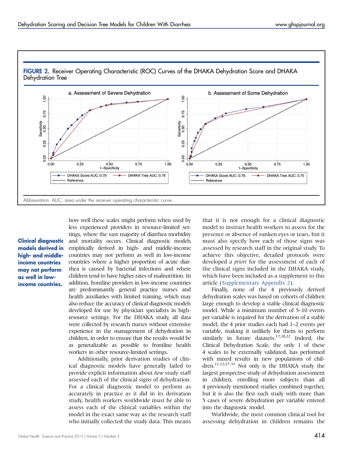

<span id="page-9-0"></span>FIGURE 2. Receiver Operating Characteristic (ROC) Curves of the DHAKA Dehydration Score and DHAKA

Clinical diagnostic models derived in high- and middleincome countries may not perform as well in lowincome countries.

how well these scales might perform when used by less experienced providers in resource-limited settings, where the vast majority of diarrhea morbidity and mortality occurs. Clinical diagnostic models empirically derived in high- and middle-income countries may not perform as well in low-income countries where a higher proportion of acute diarrhea is caused by bacterial infections and where children tend to have higher rates of malnutrition. In addition, frontline providers in low-income countries are predominantly general practice nurses and health auxiliaries with limited training, which may also reduce the accuracy of clinical diagnostic models developed for use by physician specialists in highresource settings. For the DHAKA study, all data were collected by research nurses without extensive experience in the management of dehydration in children, in order to ensure that the results would be as generalizable as possible to frontline health workers in other resource-limited settings.

Additionally, prior derivation studies of clinical diagnostic models have generally failed to provide explicit information about how study staff assessed each of the clinical signs of dehydration. For a clinical diagnostic model to perform as accurately in practice as it did in its derivation study, health workers worldwide must be able to assess each of the clinical variables within the model in the exact same way as the research staff who initially collected the study data. This means that it is not enough for a clinical diagnostic model to instruct health workers to assess for the presence or absence of sunken eyes or tears, but it must also specify how each of those signs was assessed by research staff in the original study. To achieve this objective, detailed protocols were developed *a priori* for the assessment of each of the clinical signs included in the DHAKA study, which have been included as a supplement to this article ([Supplementary Appendix 2](http://ghspjournal.org/lookup/suppl/doi:10.9745/GHSP-D-15-00097/-/DCSupplemental)).

Finally, none of the 4 previously derived dehydration scales was based on cohorts of children large enough to develop a stable clinical diagnostic model. While a minimum number of 5–10 events per variable is required for the derivation of a stable model, the 4 prior studies each had 1–2 events per variable, making it unlikely for them to perform similarly in future datasets.<sup>17,18,22</sup> Indeed, the Clinical Dehydration Scale, the only 1 of these 4 scales to be externally validated, has performed with mixed results in new populations of children.<sup>11,12,27-31</sup> Not only is the DHAKA study the largest prospective study of dehydration assessment in children, enrolling more subjects than all 4 previously mentioned studies combined together, but it is also the first such study with more than 5 cases of severe dehydration per variable entered into the diagnostic model.

Worldwide, the most common clinical tool for assessing dehydration in children remains the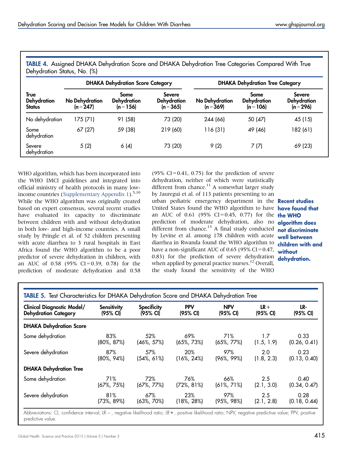| Dehydration Status, No. (%)<br><b>True</b><br><b>Dehydration</b><br><b>Status</b> |                               | <b>DHAKA Dehydration Score Category</b>   |                                                  | <b>IABLE 4.</b> Assigned DHAKA Dehydration Score and DHAKA Dehydration Tree Categories Compared With True<br><b>DHAKA Dehydration Tree Category</b> |                                           |                                                    |  |
|-----------------------------------------------------------------------------------|-------------------------------|-------------------------------------------|--------------------------------------------------|-----------------------------------------------------------------------------------------------------------------------------------------------------|-------------------------------------------|----------------------------------------------------|--|
|                                                                                   | No Dehydration<br>$(n = 247)$ | Some<br><b>Dehydration</b><br>$(n = 156)$ | <b>Severe</b><br><b>Dehydration</b><br>$(n=365)$ | No Dehydration<br>$(n = 369)$                                                                                                                       | Some<br><b>Dehydration</b><br>$(n = 106)$ | <b>Severe</b><br><b>Dehydration</b><br>$(n = 296)$ |  |
| No dehydration                                                                    | 175 (71)                      | 91 (58)                                   | 73 (20)                                          | 244 (66)                                                                                                                                            | 50 (47)                                   | 45 (15)                                            |  |
| Some<br>dehydration                                                               | 67(27)                        | 59 (38)                                   | 219 (60)                                         | 116 (31)                                                                                                                                            | 49 (46)                                   | 182 (61)                                           |  |
| Severe<br>dehydration                                                             | 5(2)                          | 6(4)                                      | 73 (20)                                          | 9(2)                                                                                                                                                | 7(7)                                      | 69 (23)                                            |  |

<span id="page-10-0"></span>TABLE 4. Assigned DHAKA Dehydration Score and DHAKA Dehydration Tree Categories Compared With True

WHO algorithm, which has been incorporated into the WHO IMCI guidelines and integrated into official ministry of health protocols in many low-income countries [\(Supplementary Appendix 1](http://ghspjournal.org/lookup/suppl/doi:10.9745/GHSP-D-15-00097/-/DCSupplemental)). $5,10$ While the WHO algorithm was originally created based on expert consensus, several recent studies have evaluated its capacity to discriminate between children with and without dehydration in both low- and high-income countries. A small study by Pringle et al. of 52 children presenting with acute diarrhea to 3 rural hospitals in East Africa found the WHO algorithm to be a poor predictor of severe dehydration in children, with an AUC of  $0.58$  (95% CI=0.39, 0.78) for the prediction of moderate dehydration and 0.58

 $(95\% \text{ CI} = 0.41, 0.75)$  for the prediction of severe dehydration, neither of which were statistically different from chance.<sup>11</sup> A somewhat larger study by Jauregui et al. of 113 patients presenting to an urban pediatric emergency department in the Recentstudies United States found the WHO algorithm to have have found that an AUC of 0.61 (95% CI=0.45, 0.77) for the **the WHO** prediction of moderate dehydration, also no **algorithm does** different from chance. $13$  A final study conducted by Levine et al. among 178 children with acute diarrhea in Rwanda found the WHO algorithm to have a non-significant AUC of 0.65 (95% CI =  $0.47$ , 0.83) for the prediction of severe dehydration when applied by general practice nurses.<sup>12</sup> Overall, the study found the sensitivity of the WHO

not discriminate well between children with and without dehydration.

| <b>Clinical Diagnostic Model/</b> | <b>Sensitivity</b> | <b>Specificity</b> | <b>PPV</b>         | <b>NPV</b>     | $LR +$     | LR-          |
|-----------------------------------|--------------------|--------------------|--------------------|----------------|------------|--------------|
| <b>Dehydration Category</b>       | (95% Cl)           | (95% CI)           | $(95% \text{ Cl})$ | (95% CI)       | (95% CI)   | (95% CI)     |
| <b>DHAKA Dehydration Score</b>    |                    |                    |                    |                |            |              |
| Some dehydration                  | 83%                | 52%                | 69%                | 71%            | 1.7        | 0.33         |
|                                   | $(80\%, 87\%)$     | $(46\%, 57\%)$     | $(65\%, 73\%)$     | $(65\%, 77\%)$ | (1.5, 1.9) | (0.26, 0.41) |
| Severe dehydration                | 87%                | 57%                | 20%                | 97%            | 2.0        | 0.23         |
|                                   | $(80\%, 94\%)$     | $(54\%, 61\%)$     | $(16\%, 24\%)$     | $(96\%, 99\%)$ | (1.8, 2.3) | (0.13, 0.40) |
| <b>DHAKA Dehydration Tree</b>     |                    |                    |                    |                |            |              |
| Some dehydration                  | 71%                | 72%                | 76%                | 66%            | 2.5        | 0.40         |
|                                   | $(67\%, 75\%)$     | $(67\%, 77\%)$     | $(72\%, 81\%)$     | $(61\%, 71\%)$ | (2.1, 3.0) | (0.34, 0.47) |
| Severe dehydration                | 81%                | $67\%$             | 23%                | 97%            | 2.5        | 0.28         |
|                                   | $(73\%, 89\%)$     | $(63\%$ , 70%)     | $(18\%, 28\%)$     | $(95\%, 98\%)$ | (2.1, 2.8) | (0.18, 0.44) |

Abbreviations: CI, confidence interval; LR – , negative likelihood ratio; LR + , positive likelihood ratio; NPV, negative predictive value; PPV, positive predictive value.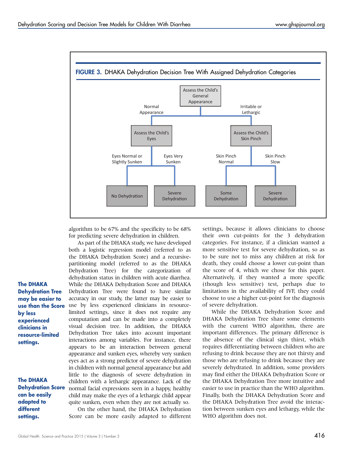<span id="page-11-0"></span>

algorithm to be 67% and the specificity to be 68% for predicting severe dehydration in children.

As part of the DHAKA study, we have developed both a logistic regression model (referred to as the DHAKA Dehydration Score) and a recursivepartitioning model (referred to as the DHAKA Dehydration Tree) for the categorization of dehydration status in children with acute diarrhea. While the DHAKA Dehydration Score and DHAKA Dehydration Tree were found to have similar accuracy in our study, the latter may be easier to use by less experienced clinicians in resourcelimited settings, since it does not require any computation and can be made into a completely visual decision tree. In addition, the DHAKA Dehydration Tree takes into account important interactions among variables. For instance, there appears to be an interaction between general appearance and sunken eyes, whereby very sunken eyes act as a strong predictor of severe dehydration in children with normal general appearance but add little to the diagnosis of severe dehydration in children with a lethargic appearance. Lack of the normal facial expressions seen in a happy, healthy child may make the eyes of a lethargic child appear quite sunken, even when they are not actually so.

On the other hand, the DHAKA Dehydration Score can be more easily adapted to different settings, because it allows clinicians to choose their own cut-points for the 3 dehydration categories. For instance, if a clinician wanted a more sensitive test for severe dehydration, so as to be sure not to miss any children at risk for death, they could choose a lower cut-point than the score of 4, which we chose for this paper. Alternatively, if they wanted a more specific (though less sensitive) test, perhaps due to limitations in the availability of IVF, they could choose to use a higher cut-point for the diagnosis of severe dehydration.

While the DHAKA Dehydration Score and DHAKA Dehydration Tree share some elements with the current WHO algorithm, there are important differences. The primary difference is the absence of the clinical sign thirst, which requires differentiating between children who are refusing to drink because they are not thirsty and those who are refusing to drink because they are severely dehydrated. In addition, some providers may find either the DHAKA Dehydration Score or the DHAKA Dehydration Tree more intuitive and easier to use in practice than the WHO algorithm. Finally, both the DHAKA Dehydration Score and the DHAKA Dehydration Tree avoid the interaction between sunken eyes and lethargy, while the WHO algorithm does not.

The DHAKA Dehydration Tree may be easier to use than the Score by less experienced clinicians in resource-limited settings.

The DHAKA Dehydration Score can be easily adapted to different settings.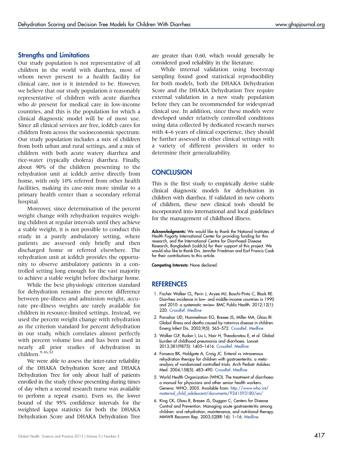#### Strengths and Limitations

Our study population is not representative of all children in the world with diarrhea, most of whom never present to a health facility for clinical care, nor is it intended to be. However, we believe that our study population is reasonably representative of children with acute diarrhea who *do* present for medical care in low-income countries, and this is the population for which a clinical diagnostic model will be of most use. Since all clinical services are free, icddr,b cares for children from across the socioeconomic spectrum. Our study population includes a mix of children from both urban and rural settings, and a mix of children with both acute watery diarrhea and rice-water (typically cholera) diarrhea. Finally, about 90% of the children presenting to the rehydration unit at icddr,b arrive directly from home, with only 10% referred from other health facilities, making its case-mix more similar to a primary health center than a secondary referral hospital.

Moreover, since determination of the percent weight change with rehydration requires weighing children at regular intervals until they achieve a stable weight, it is not possible to conduct this study in a purely ambulatory setting, where patients are assessed only briefly and then discharged home or referred elsewhere. The rehydration unit at icddr,b provides the opportunity to observe ambulatory patients in a controlled setting long enough for the vast majority to achieve a stable weight before discharge home.

While the best physiologic criterion standard for dehydration remains the percent difference between pre-illness and admission weight, accurate pre-illness weights are rarely available for children in resource-limited settings. Instead, we used the percent weight change with rehydration as the criterion standard for percent dehydration in our study, which correlates almost perfectly with percent volume loss and has been used in nearly all prior studies of dehydration in children.<sup>9,16,32</sup>

We were able to assess the inter-rater reliability of the DHAKA Dehydration Score and DHAKA Dehydration Tree for only about half of patients enrolled in the study (those presenting during times of day when a second research nurse was available to perform a repeat exam). Even so, the lower bound of the 95% confidence intervals for the weighted kappa statistics for both the DHAKA Dehydration Score and DHAKA Dehydration Tree

are greater than 0.60, which would generally be considered good reliability in the literature.

While internal validation using bootstrap sampling found good statistical reproducibility for both models, both the DHAKA Dehydration Score and the DHAKA Dehydration Tree require external validation in a new study population before they can be recommended for widespread clinical use. In addition, since these models were developed under relatively controlled conditions using data collected by dedicated research nurses with 4–6 years of clinical experience, they should be further assessed in other clinical settings with a variety of different providers in order to determine their generalizability.

#### **CONCLUSION**

This is the first study to empirically derive stable clinical diagnostic models for dehydration in children with diarrhea. If validated in new cohorts of children, these new clinical tools should be incorporated into international and local guidelines for the management of childhood illness.

Acknowledgments: We would like to thank the National Institutes of Health Fogarty International Center for providing funding for this research, and the International Centre for Diarrhoeal Disease Research, Bangladesh (icddr,b) for their support of this project. We would also like to thank Drs. Jennifer Friedman and Earl Francis Cook for their contributions to this article.

Competing Interests: None declared.

#### **REFERENCES**

- 1. Fischer Walker CL, Perin J, Aryee MJ, Boschi-Pinto C, Black RE. Diarrhea incidence in low- and middle-income countries in 1990 and 2010: a systematic review. BMC Public Health. 2012;12(1): 220. [CrossRef](http://dx.doi.org/10.1186/1471-2458-12-220). [Medline](http://www.ncbi.nlm.nih.gov/pubmed/22436130)
- 2. Parashar UD, Hummelman EG, Bresee JS, Miller MA, Glass RI. Global illness and deaths caused by rotavirus disease in children. Emerg Infect Dis. 2003;9(5): 565–572. [CrossRef.](http://dx.doi.org/10.3201/eid0905.020562) [Medline](http://www.ncbi.nlm.nih.gov/pubmed/12737740)
- 3. Walker CLF, Rudan I, Liu L, Nair H, Theodoratou E, et al. Global burden of childhood pneumonia and diarrhoea. Lancet. 2013;381(9875): 1405–1416. [CrossRef](http://dx.doi.org/10.1016/S0140-6736(13)60222-6). [Medline](http://www.ncbi.nlm.nih.gov/pubmed/23582727)
- 4. Fonseca BK, Holdgate A, Craig JC. Enteral vs intravenous rehydration therapy for children with gastroenteritis: a metaanalysis of randomized controlled trials. Arch Pediatr Adolesc Med. 2004;158(5): 483–490. [CrossRef.](http://dx.doi.org/10.1001/archpedi.158.5.483) [Medline](http://www.ncbi.nlm.nih.gov/pubmed/15123483)
- 5. World Health Organization (WHO). The treatment of diarrhoea: a manual for physicians and other senior health workers. Geneva: WHO; 2005. Available from: [http://www.who.int/](http://www.who.int/maternal_child_adolescent/documents/9241593180/en/) [maternal\\_child\\_adolescent/documents/9241593180/en/](http://www.who.int/maternal_child_adolescent/documents/9241593180/en/)
- 6. King CK, Glass R, Bresee JS, Duggan C; Centers for Disease Control and Prevention. Managing acute gastroenteritis among children: oral rehydration, maintenance, and nutritional therapy. MMWR Recomm Rep. 2003;52(RR-16): 1–16. [Medline](http://www.ncbi.nlm.nih.gov/pubmed/14627948)